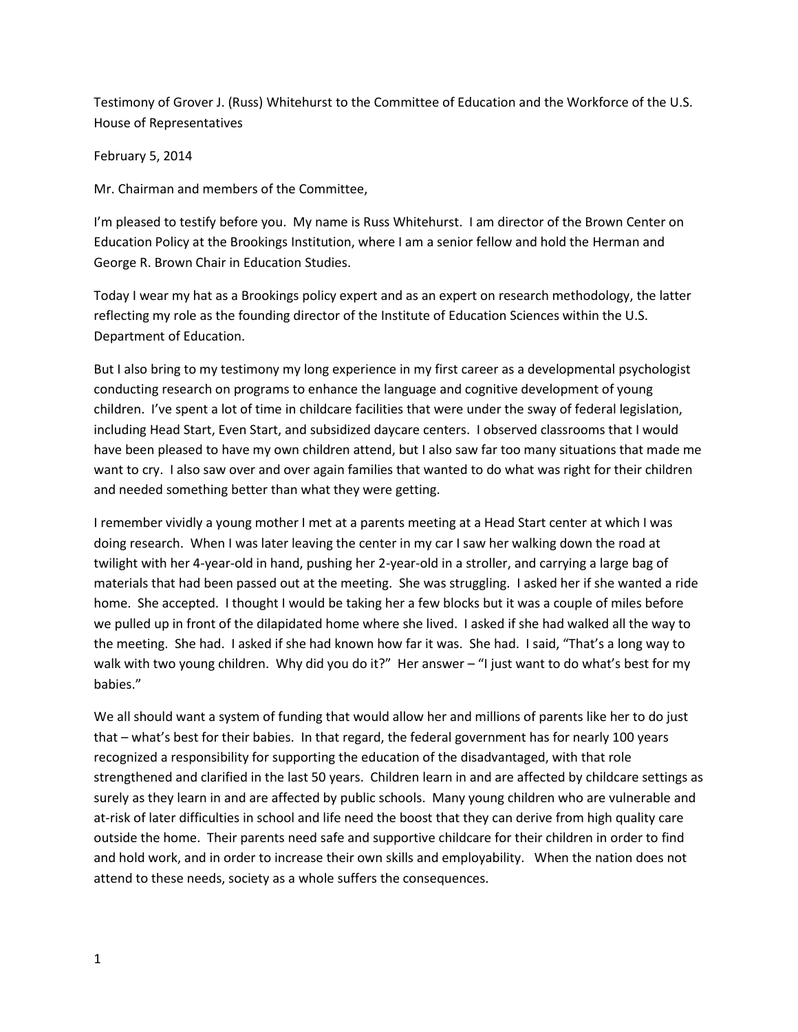Testimony of Grover J. (Russ) Whitehurst to the Committee of Education and the Workforce of the U.S. House of Representatives

February 5, 2014

Mr. Chairman and members of the Committee,

I'm pleased to testify before you. My name is Russ Whitehurst. I am director of the Brown Center on Education Policy at the Brookings Institution, where I am a senior fellow and hold the Herman and George R. Brown Chair in Education Studies.

Today I wear my hat as a Brookings policy expert and as an expert on research methodology, the latter reflecting my role as the founding director of the Institute of Education Sciences within the U.S. Department of Education.

But I also bring to my testimony my long experience in my first career as a developmental psychologist conducting research on programs to enhance the language and cognitive development of young children. I've spent a lot of time in childcare facilities that were under the sway of federal legislation, including Head Start, Even Start, and subsidized daycare centers. I observed classrooms that I would have been pleased to have my own children attend, but I also saw far too many situations that made me want to cry. I also saw over and over again families that wanted to do what was right for their children and needed something better than what they were getting.

I remember vividly a young mother I met at a parents meeting at a Head Start center at which I was doing research. When I was later leaving the center in my car I saw her walking down the road at twilight with her 4-year-old in hand, pushing her 2-year-old in a stroller, and carrying a large bag of materials that had been passed out at the meeting. She was struggling. I asked her if she wanted a ride home. She accepted. I thought I would be taking her a few blocks but it was a couple of miles before we pulled up in front of the dilapidated home where she lived. I asked if she had walked all the way to the meeting. She had. I asked if she had known how far it was. She had. I said, "That's a long way to walk with two young children. Why did you do it?" Her answer – "I just want to do what's best for my babies."

We all should want a system of funding that would allow her and millions of parents like her to do just that – what's best for their babies. In that regard, the federal government has for nearly 100 years recognized a responsibility for supporting the education of the disadvantaged, with that role strengthened and clarified in the last 50 years. Children learn in and are affected by childcare settings as surely as they learn in and are affected by public schools. Many young children who are vulnerable and at-risk of later difficulties in school and life need the boost that they can derive from high quality care outside the home. Their parents need safe and supportive childcare for their children in order to find and hold work, and in order to increase their own skills and employability. When the nation does not attend to these needs, society as a whole suffers the consequences.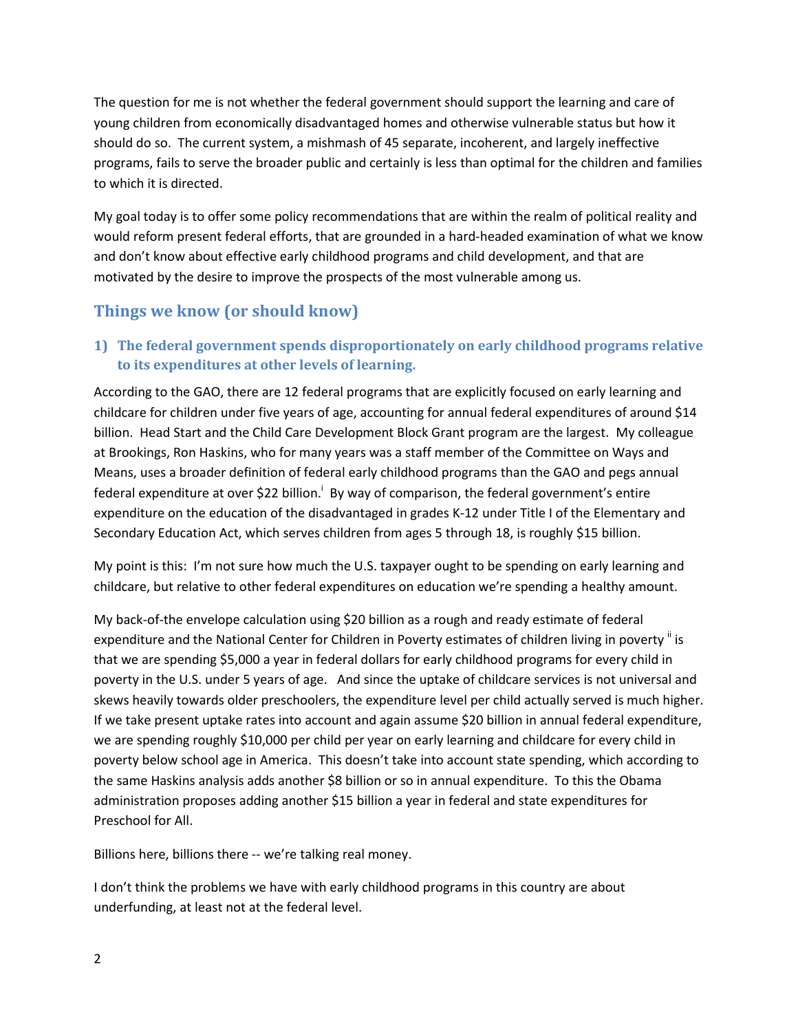The question for me is not whether the federal government should support the learning and care of young children from economically disadvantaged homes and otherwise vulnerable status but how it should do so. The current system, a mishmash of 45 separate, incoherent, and largely ineffective programs, fails to serve the broader public and certainly is less than optimal for the children and families to which it is directed.

My goal today is to offer some policy recommendations that are within the realm of political reality and would reform present federal efforts, that are grounded in a hard-headed examination of what we know and don't know about effective early childhood programs and child development, and that are motivated by the desire to improve the prospects of the most vulnerable among us.

## **Things we know (or should know)**

### **1) The federal government spends disproportionately on early childhood programs relative to its expenditures at other levels of learning.**

According to the GAO, there are 12 federal programs that are explicitly focused on early learning and childcare for children under five years of age, accounting for annual federal expenditures of around \$14 billion. Head Start and the Child Care Development Block Grant program are the largest. My colleague at Brookings, Ron Haskins, who for many years was a staff member of the Committee on Ways and Means, uses a broader definition of federal early childhood programs than the GAO and pegs annual federal expenditure at over \$22 billion.<sup>i</sup> By way of comparison, the federal government's entire expenditure on the education of the disadvantaged in grades K-12 under Title I of the Elementary and Secondary Education Act, which serves children from ages 5 through 18, is roughly \$15 billion.

My point is this: I'm not sure how much the U.S. taxpayer ought to be spending on early learning and childcare, but relative to other federal expenditures on education we're spending a healthy amount.

My back-of-the envelope calculation using \$20 billion as a rough and ready estimate of federal expenditure and the National Center for Children in Poverty estimates of children living in poverty iis that we are spending \$5,000 a year in federal dollars for early childhood programs for every child in poverty in the U.S. under 5 years of age. And since the uptake of childcare services is not universal and skews heavily towards older preschoolers, the expenditure level per child actually served is much higher. If we take present uptake rates into account and again assume \$20 billion in annual federal expenditure, we are spending roughly \$10,000 per child per year on early learning and childcare for every child in poverty below school age in America. This doesn't take into account state spending, which according to the same Haskins analysis adds another \$8 billion or so in annual expenditure. To this the Obama administration proposes adding another \$15 billion a year in federal and state expenditures for Preschool for All.

Billions here, billions there -- we're talking real money.

I don't think the problems we have with early childhood programs in this country are about underfunding, at least not at the federal level.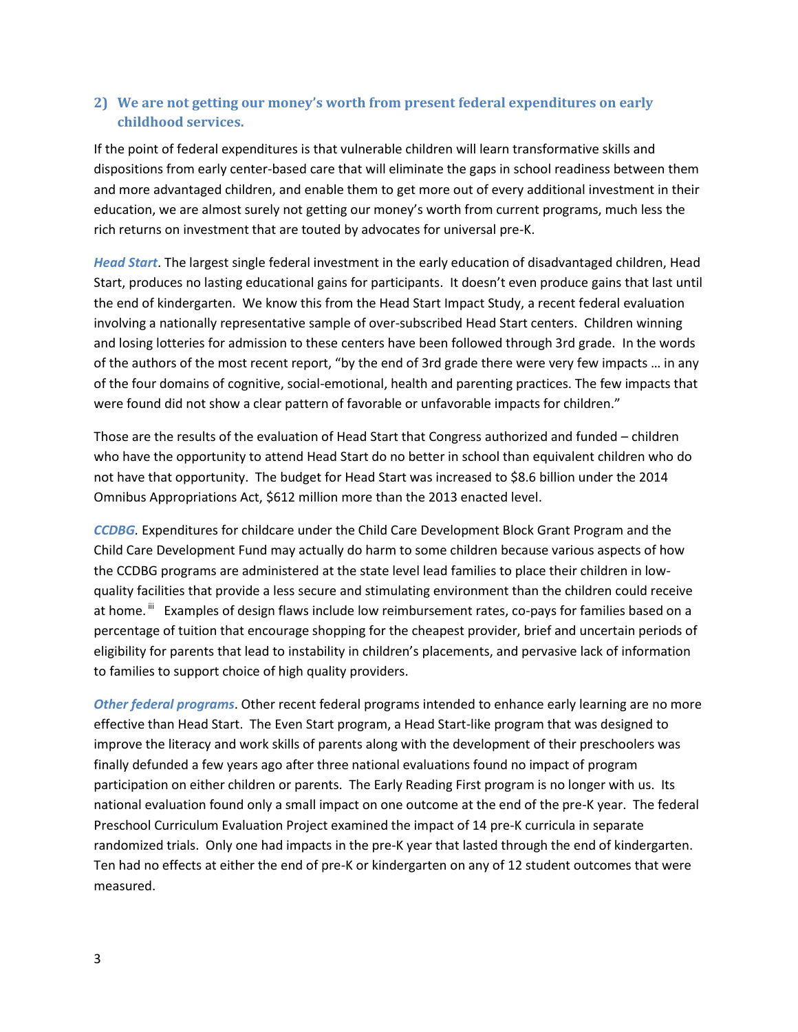### **2) We are not getting our money's worth from present federal expenditures on early childhood services.**

If the point of federal expenditures is that vulnerable children will learn transformative skills and dispositions from early center-based care that will eliminate the gaps in school readiness between them and more advantaged children, and enable them to get more out of every additional investment in their education, we are almost surely not getting our money's worth from current programs, much less the rich returns on investment that are touted by advocates for universal pre-K.

*Head Start*. The largest single federal investment in the early education of disadvantaged children, Head Start, produces no lasting educational gains for participants. It doesn't even produce gains that last until the end of kindergarten. We know this from the Head Start Impact Study, a recent federal evaluation involving a nationally representative sample of over-subscribed Head Start centers. Children winning and losing lotteries for admission to these centers have been followed through 3rd grade. In the words of the authors of the most recent report, "by the end of 3rd grade there were very few impacts … in any of the four domains of cognitive, social-emotional, health and parenting practices. The few impacts that were found did not show a clear pattern of favorable or unfavorable impacts for children."

Those are the results of the evaluation of Head Start that Congress authorized and funded – children who have the opportunity to attend Head Start do no better in school than equivalent children who do not have that opportunity. The budget for Head Start was increased to \$8.6 billion under the 2014 Omnibus Appropriations Act, \$612 million more than the 2013 enacted level.

*CCDBG.* Expenditures for childcare under the Child Care Development Block Grant Program and the Child Care Development Fund may actually do harm to some children because various aspects of how the CCDBG programs are administered at the state level lead families to place their children in lowquality facilities that provide a less secure and stimulating environment than the children could receive at home. <sup>III</sup> Examples of design flaws include low reimbursement rates, co-pays for families based on a percentage of tuition that encourage shopping for the cheapest provider, brief and uncertain periods of eligibility for parents that lead to instability in children's placements, and pervasive lack of information to families to support choice of high quality providers.

*Other federal programs*. Other recent federal programs intended to enhance early learning are no more effective than Head Start. The Even Start program, a Head Start-like program that was designed to improve the literacy and work skills of parents along with the development of their preschoolers was finally defunded a few years ago after three national evaluations found no impact of program participation on either children or parents. The Early Reading First program is no longer with us. Its national evaluation found only a small impact on one outcome at the end of the pre-K year. The federal Preschool Curriculum Evaluation Project examined the impact of 14 pre-K curricula in separate randomized trials. Only one had impacts in the pre-K year that lasted through the end of kindergarten. Ten had no effects at either the end of pre-K or kindergarten on any of 12 student outcomes that were measured.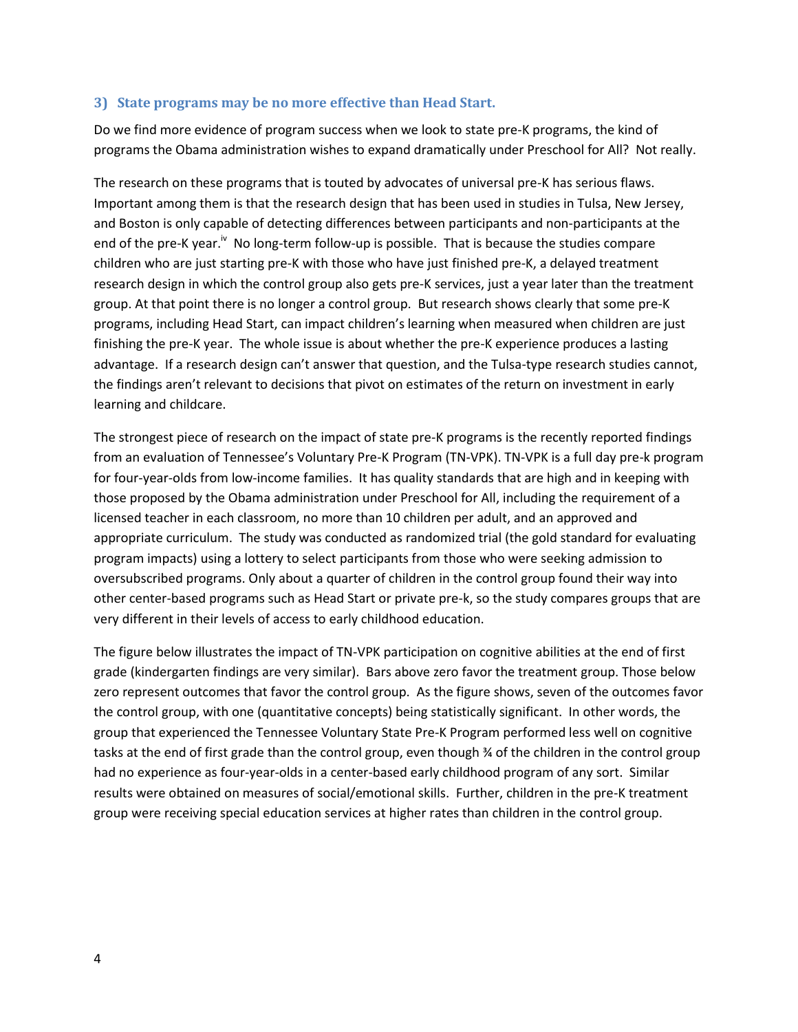#### **3) State programs may be no more effective than Head Start.**

Do we find more evidence of program success when we look to state pre-K programs, the kind of programs the Obama administration wishes to expand dramatically under Preschool for All? Not really.

The research on these programs that is touted by advocates of universal pre-K has serious flaws. Important among them is that the research design that has been used in studies in Tulsa, New Jersey, and Boston is only capable of detecting differences between participants and non-participants at the end of the pre-K year.<sup>iv</sup> No long-term follow-up is possible. That is because the studies compare children who are just starting pre-K with those who have just finished pre-K, a delayed treatment research design in which the control group also gets pre-K services, just a year later than the treatment group. At that point there is no longer a control group. But research shows clearly that some pre-K programs, including Head Start, can impact children's learning when measured when children are just finishing the pre-K year. The whole issue is about whether the pre-K experience produces a lasting advantage. If a research design can't answer that question, and the Tulsa-type research studies cannot, the findings aren't relevant to decisions that pivot on estimates of the return on investment in early learning and childcare.

The strongest piece of research on the impact of state pre-K programs is the recently reported findings from an evaluation of Tennessee's Voluntary Pre-K Program (TN-VPK). TN‐VPK is a full day pre-k program for four‐year‐olds from low-income families. It has quality standards that are high and in keeping with those proposed by the Obama administration under Preschool for All, including the requirement of a licensed teacher in each classroom, no more than 10 children per adult, and an approved and appropriate curriculum. The study was conducted as randomized trial (the gold standard for evaluating program impacts) using a lottery to select participants from those who were seeking admission to oversubscribed programs. Only about a quarter of children in the control group found their way into other center-based programs such as Head Start or private pre-k, so the study compares groups that are very different in their levels of access to early childhood education.

The figure below illustrates the impact of TN-VPK participation on cognitive abilities at the end of first grade (kindergarten findings are very similar). Bars above zero favor the treatment group. Those below zero represent outcomes that favor the control group. As the figure shows, seven of the outcomes favor the control group, with one (quantitative concepts) being statistically significant. In other words, the group that experienced the Tennessee Voluntary State Pre-K Program performed less well on cognitive tasks at the end of first grade than the control group, even though % of the children in the control group had no experience as four-year-olds in a center-based early childhood program of any sort. Similar results were obtained on measures of social/emotional skills. Further, children in the pre-K treatment group were receiving special education services at higher rates than children in the control group.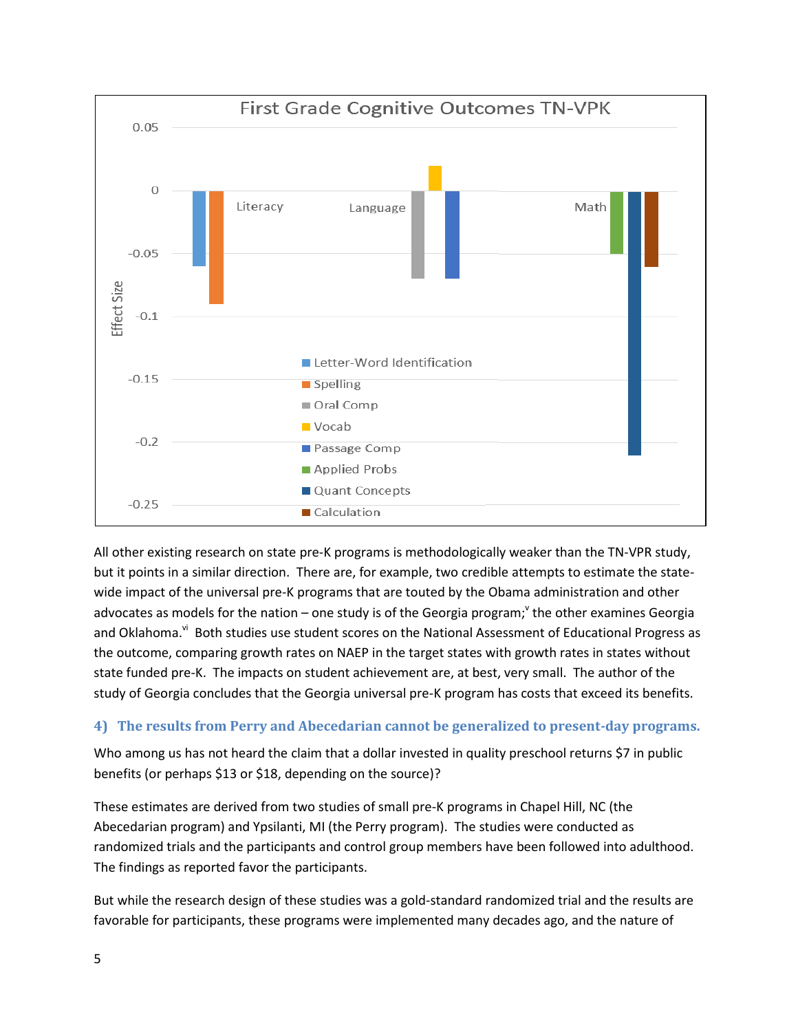

All other existing research on state pre-K programs is methodologically weaker than the TN-VPR study, but it points in a similar direction. There are, for example, two credible attempts to estimate the statewide impact of the universal pre-K programs that are touted by the Obama administration and other advocates as models for the nation – one study is of the Georgia program;<sup>v</sup> the other examines Georgia and Oklahoma.<sup>vi</sup> Both studies use student scores on the National Assessment of Educational Progress as the outcome, comparing growth rates on NAEP in the target states with growth rates in states without state funded pre-K. The impacts on student achievement are, at best, very small. The author of the study of Georgia concludes that the Georgia universal pre-K program has costs that exceed its benefits.

#### **4) The results from Perry and Abecedarian cannot be generalized to present-day programs.**

Who among us has not heard the claim that a dollar invested in quality preschool returns \$7 in public benefits (or perhaps \$13 or \$18, depending on the source)?

These estimates are derived from two studies of small pre-K programs in Chapel Hill, NC (the Abecedarian program) and Ypsilanti, MI (the Perry program). The studies were conducted as randomized trials and the participants and control group members have been followed into adulthood. The findings as reported favor the participants.

But while the research design of these studies was a gold-standard randomized trial and the results are favorable for participants, these programs were implemented many decades ago, and the nature of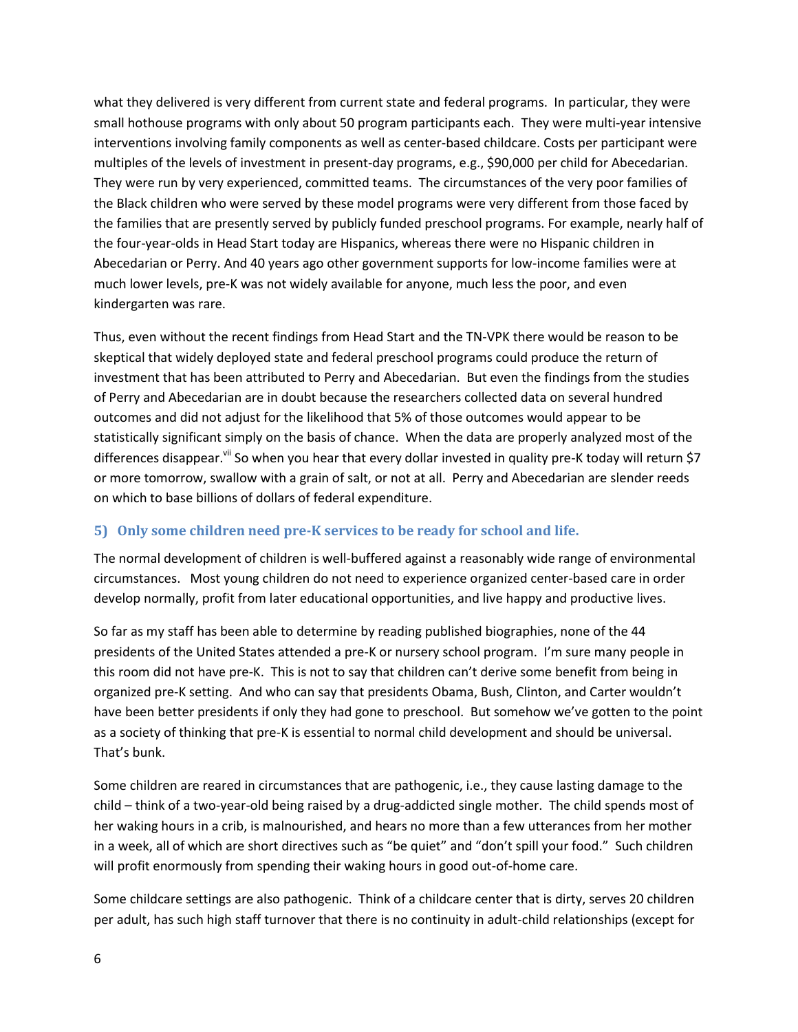what they delivered is very different from current state and federal programs. In particular, they were small hothouse programs with only about 50 program participants each. They were multi-year intensive interventions involving family components as well as center-based childcare. Costs per participant were multiples of the levels of investment in present-day programs, e.g., \$90,000 per child for Abecedarian. They were run by very experienced, committed teams. The circumstances of the very poor families of the Black children who were served by these model programs were very different from those faced by the families that are presently served by publicly funded preschool programs. For example, nearly half of the four-year-olds in Head Start today are Hispanics, whereas there were no Hispanic children in Abecedarian or Perry. And 40 years ago other government supports for low-income families were at much lower levels, pre-K was not widely available for anyone, much less the poor, and even kindergarten was rare.

Thus, even without the recent findings from Head Start and the TN-VPK there would be reason to be skeptical that widely deployed state and federal preschool programs could produce the return of investment that has been attributed to Perry and Abecedarian. But even the findings from the studies of Perry and Abecedarian are in doubt because the researchers collected data on several hundred outcomes and did not adjust for the likelihood that 5% of those outcomes would appear to be statistically significant simply on the basis of chance. When the data are properly analyzed most of the differences disappear.<sup>vii</sup> So when you hear that every dollar invested in quality pre-K today will return \$7 or more tomorrow, swallow with a grain of salt, or not at all. Perry and Abecedarian are slender reeds on which to base billions of dollars of federal expenditure.

### **5) Only some children need pre-K services to be ready for school and life.**

The normal development of children is well-buffered against a reasonably wide range of environmental circumstances. Most young children do not need to experience organized center-based care in order develop normally, profit from later educational opportunities, and live happy and productive lives.

So far as my staff has been able to determine by reading published biographies, none of the 44 presidents of the United States attended a pre-K or nursery school program. I'm sure many people in this room did not have pre-K. This is not to say that children can't derive some benefit from being in organized pre-K setting. And who can say that presidents Obama, Bush, Clinton, and Carter wouldn't have been better presidents if only they had gone to preschool. But somehow we've gotten to the point as a society of thinking that pre-K is essential to normal child development and should be universal. That's bunk.

Some children are reared in circumstances that are pathogenic, i.e., they cause lasting damage to the child – think of a two-year-old being raised by a drug-addicted single mother. The child spends most of her waking hours in a crib, is malnourished, and hears no more than a few utterances from her mother in a week, all of which are short directives such as "be quiet" and "don't spill your food." Such children will profit enormously from spending their waking hours in good out-of-home care.

Some childcare settings are also pathogenic. Think of a childcare center that is dirty, serves 20 children per adult, has such high staff turnover that there is no continuity in adult-child relationships (except for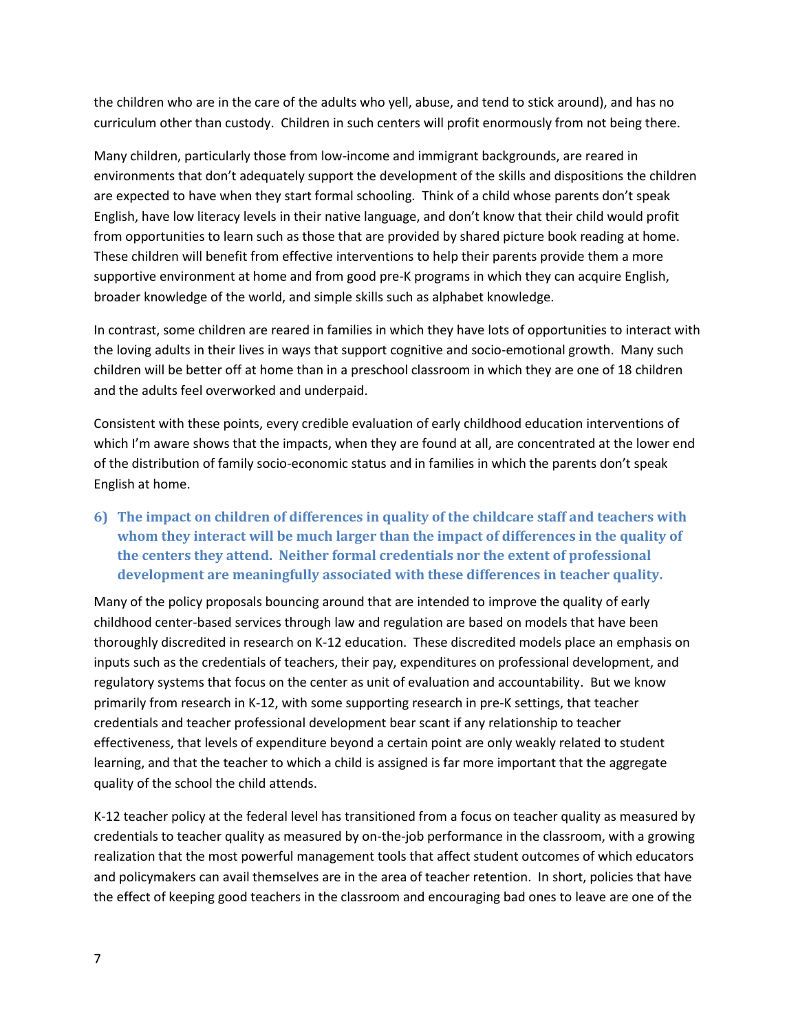the children who are in the care of the adults who yell, abuse, and tend to stick around), and has no curriculum other than custody. Children in such centers will profit enormously from not being there.

Many children, particularly those from low-income and immigrant backgrounds, are reared in environments that don't adequately support the development of the skills and dispositions the children are expected to have when they start formal schooling. Think of a child whose parents don't speak English, have low literacy levels in their native language, and don't know that their child would profit from opportunities to learn such as those that are provided by shared picture book reading at home. These children will benefit from effective interventions to help their parents provide them a more supportive environment at home and from good pre-K programs in which they can acquire English, broader knowledge of the world, and simple skills such as alphabet knowledge.

In contrast, some children are reared in families in which they have lots of opportunities to interact with the loving adults in their lives in ways that support cognitive and socio-emotional growth. Many such children will be better off at home than in a preschool classroom in which they are one of 18 children and the adults feel overworked and underpaid.

Consistent with these points, every credible evaluation of early childhood education interventions of which I'm aware shows that the impacts, when they are found at all, are concentrated at the lower end of the distribution of family socio-economic status and in families in which the parents don't speak English at home.

**6) The impact on children of differences in quality of the childcare staff and teachers with whom they interact will be much larger than the impact of differences in the quality of the centers they attend. Neither formal credentials nor the extent of professional development are meaningfully associated with these differences in teacher quality.**

Many of the policy proposals bouncing around that are intended to improve the quality of early childhood center-based services through law and regulation are based on models that have been thoroughly discredited in research on K-12 education. These discredited models place an emphasis on inputs such as the credentials of teachers, their pay, expenditures on professional development, and regulatory systems that focus on the center as unit of evaluation and accountability. But we know primarily from research in K-12, with some supporting research in pre-K settings, that teacher credentials and teacher professional development bear scant if any relationship to teacher effectiveness, that levels of expenditure beyond a certain point are only weakly related to student learning, and that the teacher to which a child is assigned is far more important that the aggregate quality of the school the child attends.

K-12 teacher policy at the federal level has transitioned from a focus on teacher quality as measured by credentials to teacher quality as measured by on-the-job performance in the classroom, with a growing realization that the most powerful management tools that affect student outcomes of which educators and policymakers can avail themselves are in the area of teacher retention. In short, policies that have the effect of keeping good teachers in the classroom and encouraging bad ones to leave are one of the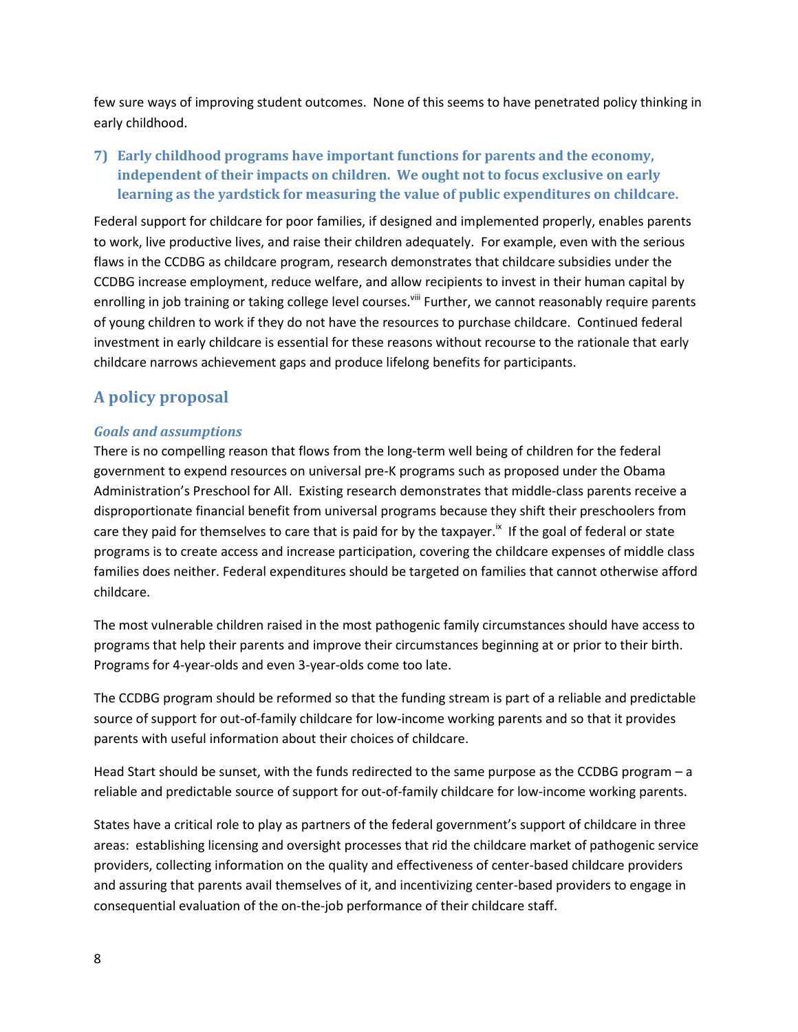few sure ways of improving student outcomes. None of this seems to have penetrated policy thinking in early childhood.

**7) Early childhood programs have important functions for parents and the economy, independent of their impacts on children. We ought not to focus exclusive on early learning as the yardstick for measuring the value of public expenditures on childcare.**

Federal support for childcare for poor families, if designed and implemented properly, enables parents to work, live productive lives, and raise their children adequately. For example, even with the serious flaws in the CCDBG as childcare program, research demonstrates that childcare subsidies under the CCDBG increase employment, reduce welfare, and allow recipients to invest in their human capital by enrolling in job training or taking college level courses.<sup>viii</sup> Further, we cannot reasonably require parents of young children to work if they do not have the resources to purchase childcare. Continued federal investment in early childcare is essential for these reasons without recourse to the rationale that early childcare narrows achievement gaps and produce lifelong benefits for participants.

## **A policy proposal**

#### *Goals and assumptions*

There is no compelling reason that flows from the long-term well being of children for the federal government to expend resources on universal pre-K programs such as proposed under the Obama Administration's Preschool for All. Existing research demonstrates that middle-class parents receive a disproportionate financial benefit from universal programs because they shift their preschoolers from care they paid for themselves to care that is paid for by the taxpayer.<sup>ix</sup> If the goal of federal or state programs is to create access and increase participation, covering the childcare expenses of middle class families does neither. Federal expenditures should be targeted on families that cannot otherwise afford childcare.

The most vulnerable children raised in the most pathogenic family circumstances should have access to programs that help their parents and improve their circumstances beginning at or prior to their birth. Programs for 4-year-olds and even 3-year-olds come too late.

The CCDBG program should be reformed so that the funding stream is part of a reliable and predictable source of support for out-of-family childcare for low-income working parents and so that it provides parents with useful information about their choices of childcare.

Head Start should be sunset, with the funds redirected to the same purpose as the CCDBG program – a reliable and predictable source of support for out-of-family childcare for low-income working parents.

States have a critical role to play as partners of the federal government's support of childcare in three areas: establishing licensing and oversight processes that rid the childcare market of pathogenic service providers, collecting information on the quality and effectiveness of center-based childcare providers and assuring that parents avail themselves of it, and incentivizing center-based providers to engage in consequential evaluation of the on-the-job performance of their childcare staff.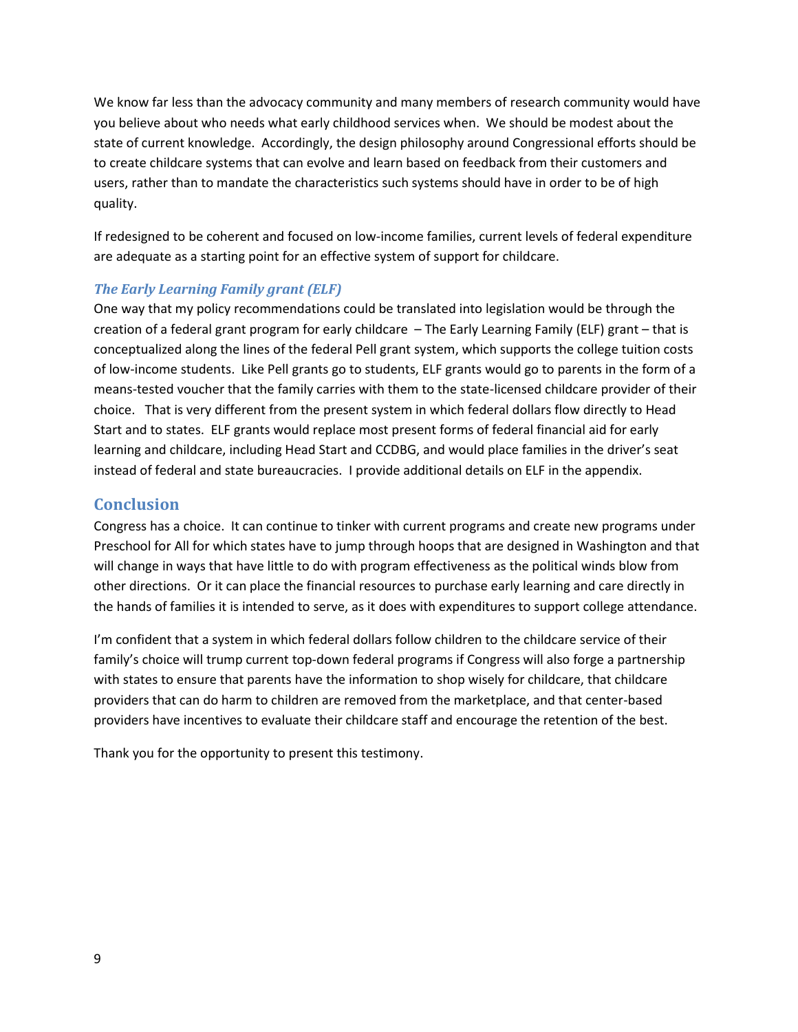We know far less than the advocacy community and many members of research community would have you believe about who needs what early childhood services when. We should be modest about the state of current knowledge. Accordingly, the design philosophy around Congressional efforts should be to create childcare systems that can evolve and learn based on feedback from their customers and users, rather than to mandate the characteristics such systems should have in order to be of high quality.

If redesigned to be coherent and focused on low-income families, current levels of federal expenditure are adequate as a starting point for an effective system of support for childcare.

#### *The Early Learning Family grant (ELF)*

One way that my policy recommendations could be translated into legislation would be through the creation of a federal grant program for early childcare – The Early Learning Family (ELF) grant – that is conceptualized along the lines of the federal Pell grant system, which supports the college tuition costs of low-income students. Like Pell grants go to students, ELF grants would go to parents in the form of a means-tested voucher that the family carries with them to the state-licensed childcare provider of their choice. That is very different from the present system in which federal dollars flow directly to Head Start and to states. ELF grants would replace most present forms of federal financial aid for early learning and childcare, including Head Start and CCDBG, and would place families in the driver's seat instead of federal and state bureaucracies. I provide additional details on ELF in the appendix.

#### **Conclusion**

Congress has a choice. It can continue to tinker with current programs and create new programs under Preschool for All for which states have to jump through hoops that are designed in Washington and that will change in ways that have little to do with program effectiveness as the political winds blow from other directions. Or it can place the financial resources to purchase early learning and care directly in the hands of families it is intended to serve, as it does with expenditures to support college attendance.

I'm confident that a system in which federal dollars follow children to the childcare service of their family's choice will trump current top-down federal programs if Congress will also forge a partnership with states to ensure that parents have the information to shop wisely for childcare, that childcare providers that can do harm to children are removed from the marketplace, and that center-based providers have incentives to evaluate their childcare staff and encourage the retention of the best.

Thank you for the opportunity to present this testimony.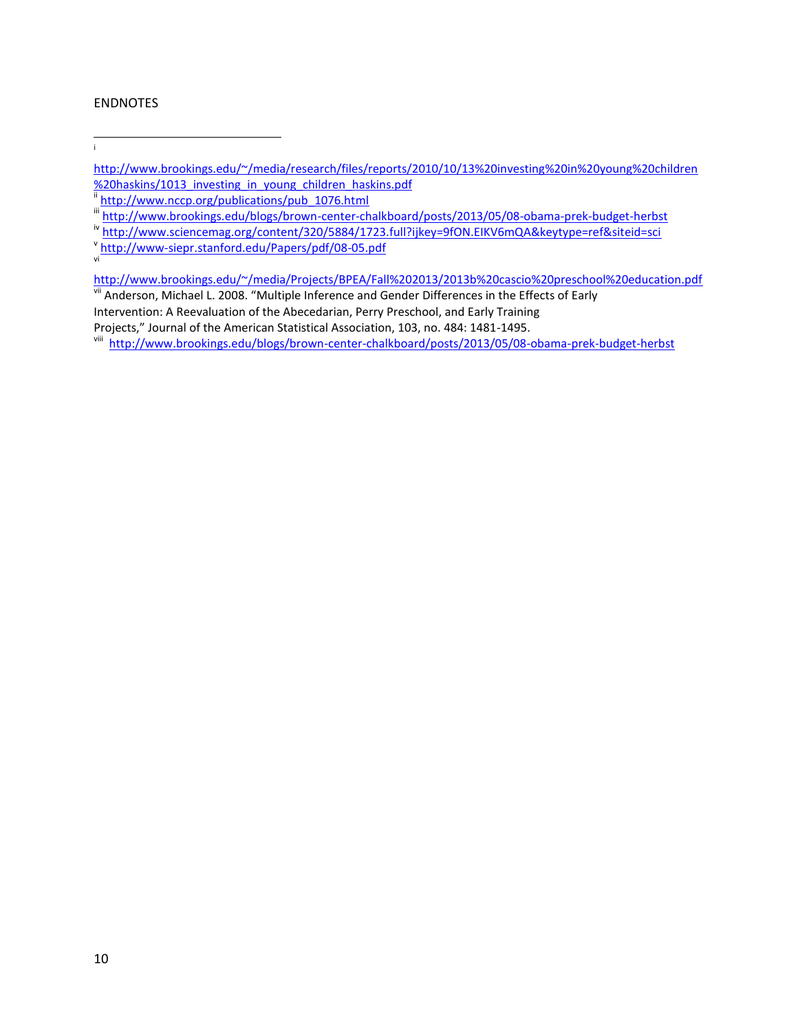#### ENDNOTES

i

- [http://www.brookings.edu/~/media/research/files/reports/2010/10/13%20investing%20in%20young%20children](http://www.brookings.edu/~/media/research/files/reports/2010/10/13%20investing%20in%20young%20children%20haskins/1013_investing_in_young_children_haskins.pdf) [%20haskins/1013\\_investing\\_in\\_young\\_children\\_haskins.pdf](http://www.brookings.edu/~/media/research/files/reports/2010/10/13%20investing%20in%20young%20children%20haskins/1013_investing_in_young_children_haskins.pdf)
- iii [http://www.nccp.org/publications/pub\\_1076.html](http://www.nccp.org/publications/pub_1076.html)
- iii <http://www.brookings.edu/blogs/brown-center-chalkboard/posts/2013/05/08-obama-prek-budget-herbst>
- iv <http://www.sciencemag.org/content/320/5884/1723.full?ijkey=9fON.EIKV6mQA&keytype=ref&siteid=sci>
- v <http://www-siepr.stanford.edu/Papers/pdf/08-05.pdf> vi
- <http://www.brookings.edu/~/media/Projects/BPEA/Fall%202013/2013b%20cascio%20preschool%20education.pdf> vii Anderson, Michael L. 2008. "Multiple Inference and Gender Differences in the Effects of Early
- Intervention: A Reevaluation of the Abecedarian, Perry Preschool, and Early Training
- Projects," Journal of the American Statistical Association, 103, no. 484: 1481-1495.
- <sup>viii</sup> <http://www.brookings.edu/blogs/brown-center-chalkboard/posts/2013/05/08-obama-prek-budget-herbst>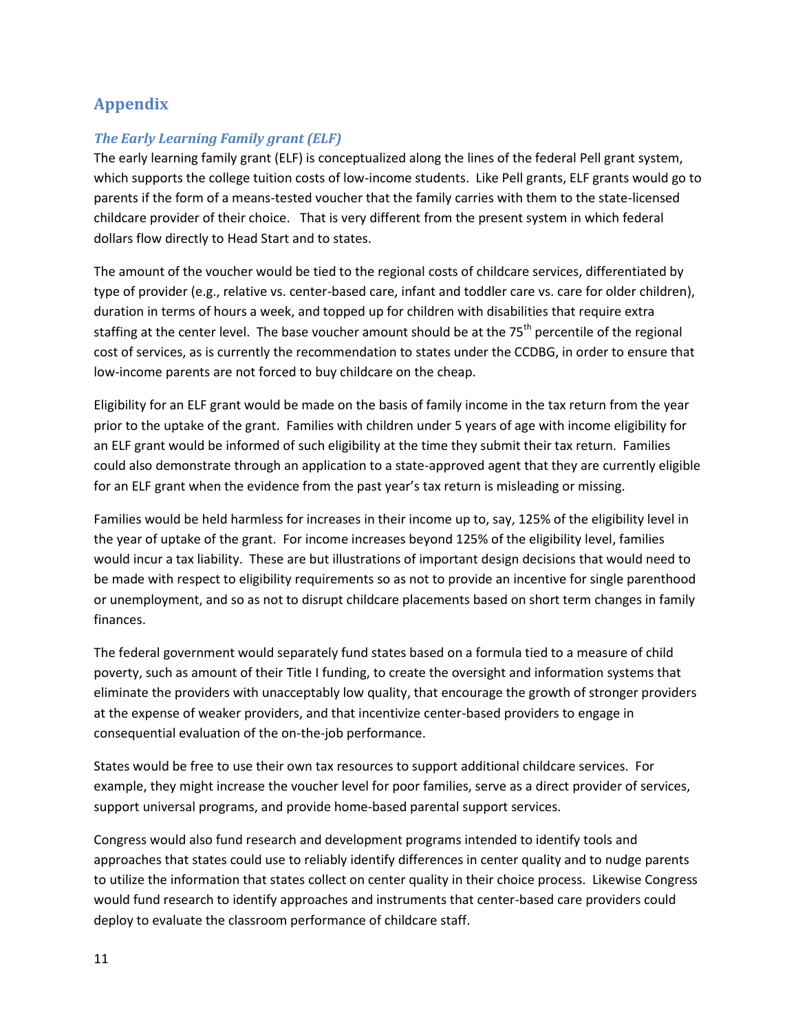# **Appendix**

#### *The Early Learning Family grant (ELF)*

The early learning family grant (ELF) is conceptualized along the lines of the federal Pell grant system, which supports the college tuition costs of low-income students. Like Pell grants, ELF grants would go to parents if the form of a means-tested voucher that the family carries with them to the state-licensed childcare provider of their choice. That is very different from the present system in which federal dollars flow directly to Head Start and to states.

The amount of the voucher would be tied to the regional costs of childcare services, differentiated by type of provider (e.g., relative vs. center-based care, infant and toddler care vs. care for older children), duration in terms of hours a week, and topped up for children with disabilities that require extra staffing at the center level. The base voucher amount should be at the 75<sup>th</sup> percentile of the regional cost of services, as is currently the recommendation to states under the CCDBG, in order to ensure that low-income parents are not forced to buy childcare on the cheap.

Eligibility for an ELF grant would be made on the basis of family income in the tax return from the year prior to the uptake of the grant. Families with children under 5 years of age with income eligibility for an ELF grant would be informed of such eligibility at the time they submit their tax return. Families could also demonstrate through an application to a state-approved agent that they are currently eligible for an ELF grant when the evidence from the past year's tax return is misleading or missing.

Families would be held harmless for increases in their income up to, say, 125% of the eligibility level in the year of uptake of the grant. For income increases beyond 125% of the eligibility level, families would incur a tax liability. These are but illustrations of important design decisions that would need to be made with respect to eligibility requirements so as not to provide an incentive for single parenthood or unemployment, and so as not to disrupt childcare placements based on short term changes in family finances.

The federal government would separately fund states based on a formula tied to a measure of child poverty, such as amount of their Title I funding, to create the oversight and information systems that eliminate the providers with unacceptably low quality, that encourage the growth of stronger providers at the expense of weaker providers, and that incentivize center-based providers to engage in consequential evaluation of the on-the-job performance.

States would be free to use their own tax resources to support additional childcare services. For example, they might increase the voucher level for poor families, serve as a direct provider of services, support universal programs, and provide home-based parental support services.

Congress would also fund research and development programs intended to identify tools and approaches that states could use to reliably identify differences in center quality and to nudge parents to utilize the information that states collect on center quality in their choice process. Likewise Congress would fund research to identify approaches and instruments that center-based care providers could deploy to evaluate the classroom performance of childcare staff.